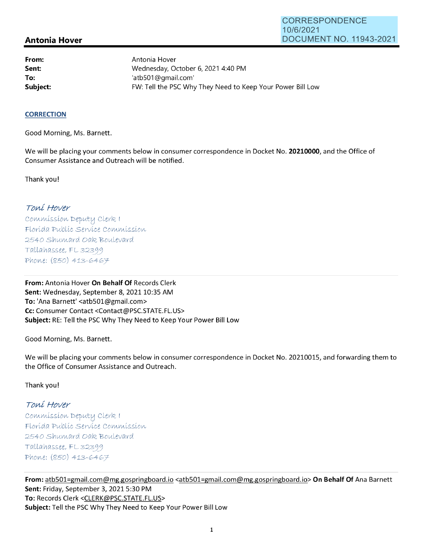## **Antonia Hover**

**From: Sent: To:** 

Antonia Hover Wednesday, October 6, 2021 4:40 PM 'atb501@gmail.com' **Subject: EXALG:** FW: Tell the PSC Why They Need to Keep Your Power Bill Low

## **CORRECTION**

Good Morning, Ms. Barnett.

We will be placing your comments below in consumer correspondence in Docket No. **20210000,** and the Office of Consumer Assistance and Outreach will be notified.

Thank you!

## Toní Hover

Commission Deputy Clerk I Florída Publíc Service Commission 2540 Shumard Oak Boulevard  $Tallahasse, FL 32399$ Phone: (850) 413-6467

**From:** Antonia Hover **On Behalf Of** Records Clerk Sent: Wednesday, September 8, 2021 10:35 AM **To:** 'Ana Barnett' <atb501@gmail.com> **Cc:** Consumer Contact <Contact@PSC.STATE.FL.US> **Subject:** RE: Tell the PSC Why They Need to Keep Your Power Bill Low

Good Morning, Ms. Barnett.

We will be placing your comments below in consumer correspondence in Docket No. 20210015, and forwarding them to the Office of Consumer Assistance and Outreach.

Thank you!

## Toní Hover

 $Commission$  Deputy Clerk I Florída Publíc Servíce Commission 2540 Shumard Oak Boulevard  $Tallahasse, FL 32399$ Phone: (850) 413-6467

**From:** atb501=gmail.com@mg.gospringboard.io <atb501=gmail.com@mg.gospringboard.io> **On Behalf Of** Ana Barnett **Sent:** Friday, September 3, 2021 5:30 PM **To:** Records Clerk <CLERK@PSC.STATE.FL.US> **Subject:** Tell the PSC Why They Need to Keep Your Power Bill Low